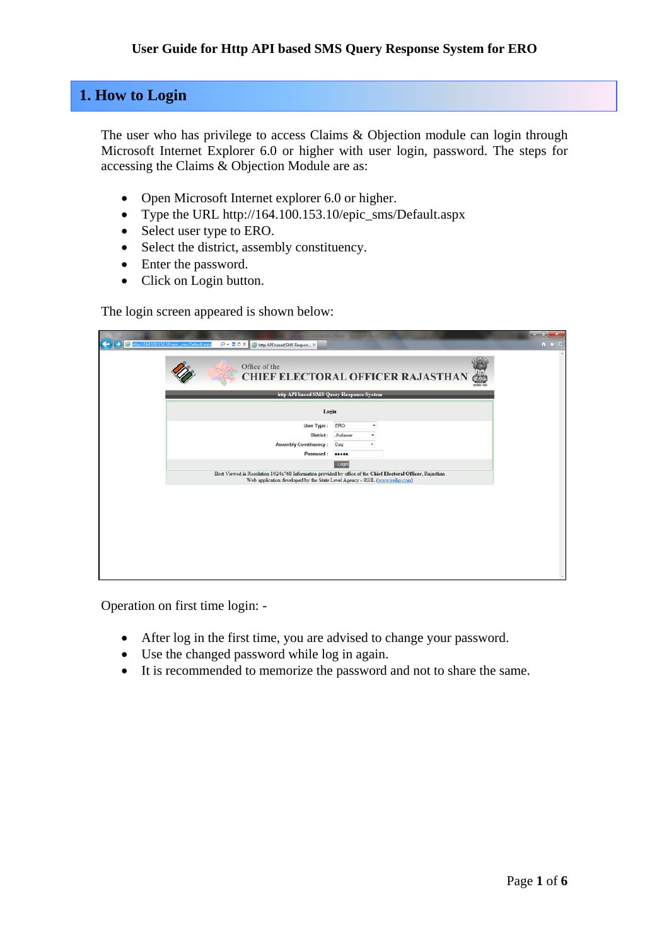### **1. How to Login**

The user who has privilege to access Claims & Objection module can login through Microsoft Internet Explorer 6.0 or higher with user login, password. The steps for accessing the Claims & Objection Module are as:

- Open Microsoft Internet explorer 6.0 or higher.
- Type the URL http://164.100.153.10/epic\_sms/Default.aspx
- Select user type to ERO.
- Select the district, assembly constituency.
- Enter the password.
- Click on Login button.

The login screen appeared is shown below:

| http API based SMS Query Response System                                                                                                                                                  | <b>CHIEF ELECTORAL OFFICER RAJASTHAN</b> | ¢ |
|-------------------------------------------------------------------------------------------------------------------------------------------------------------------------------------------|------------------------------------------|---|
| Login                                                                                                                                                                                     |                                          |   |
| User Type:<br>District:<br>Assembly Constituency :<br>Password:                                                                                                                           | ERO<br>٠<br>Jhalawar<br>Dag<br>          |   |
|                                                                                                                                                                                           | Login                                    |   |
| Best Viewed in Resolution 1024x768 Information provided by office of the Chief Electoral Officer, Rajasthan<br>Web application developed by the State Level Agency - REIL (www.relip.com) |                                          |   |
|                                                                                                                                                                                           |                                          |   |
|                                                                                                                                                                                           |                                          |   |

Operation on first time login: -

- After log in the first time, you are advised to change your password.
- Use the changed password while log in again.
- It is recommended to memorize the password and not to share the same.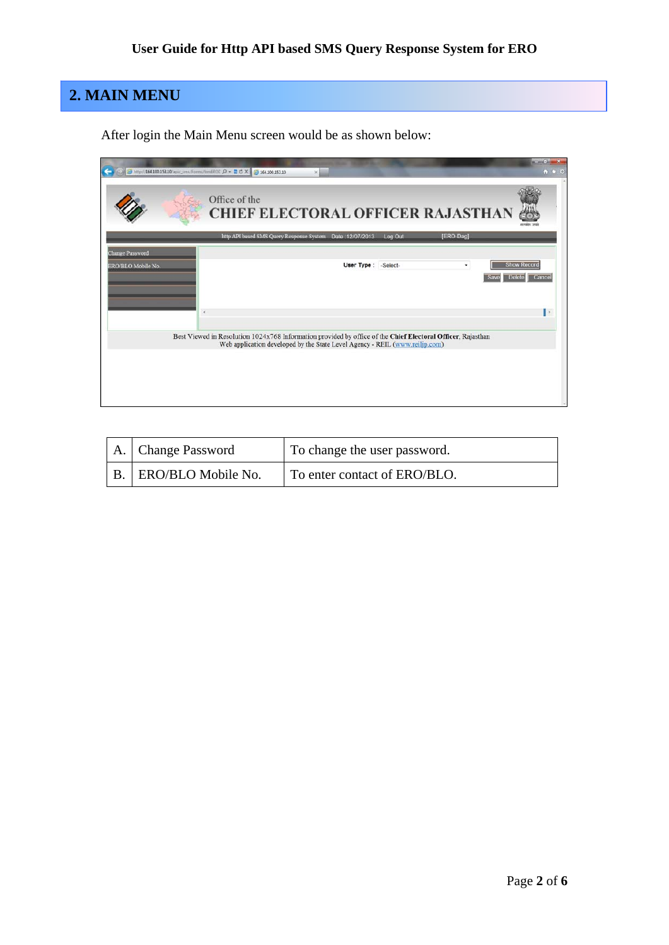# **2. MAIN MENU**

After login the Main Menu screen would be as shown below:

|                        | → http://164.100.153.10/epic_sms/Forms/frmEROC Q - 2 C X + 3 164.100.153.10<br>$\propto$                                                                                                   | $n = 100$<br>$A$ $A$ $B$                      |
|------------------------|--------------------------------------------------------------------------------------------------------------------------------------------------------------------------------------------|-----------------------------------------------|
|                        | Office of the<br><b>CHIEF ELECTORAL OFFICER RAJASTHAN</b>                                                                                                                                  |                                               |
|                        | http API based SMS Query Response System Date 12/07/2013<br>[ERO-Dag]<br>Log Out                                                                                                           |                                               |
| <b>Change Password</b> |                                                                                                                                                                                            |                                               |
| ERO/BLO Mobile No.     | User Type : - Select-<br>$\blacksquare$<br><b>Save</b>                                                                                                                                     | <b>Show Record</b><br><b>Delete</b><br>Cancel |
|                        | ٠                                                                                                                                                                                          | ь                                             |
|                        | Best Viewed in Resolution 1024x768 Information provided by office of the Chief Electoral Officer, Rajasthan<br>Web application developed by the State Level Agency - REIL (www.reilip.com) |                                               |
|                        |                                                                                                                                                                                            |                                               |

| A.   Change Password    | To change the user password. |
|-------------------------|------------------------------|
| B.   ERO/BLO Mobile No. | To enter contact of ERO/BLO. |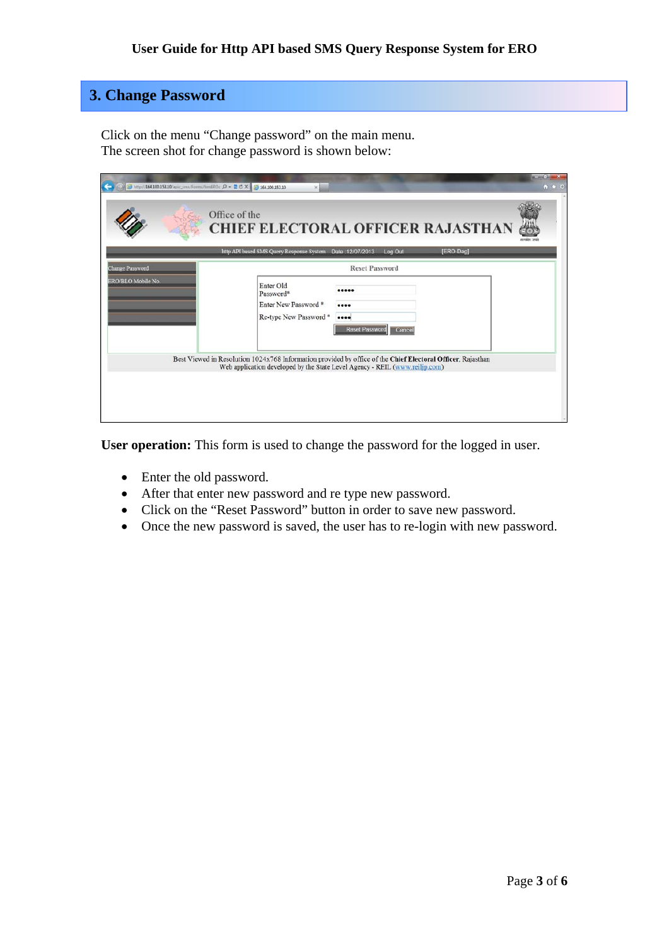### **3. Change Password**

Click on the menu "Change password" on the main menu. The screen shot for change password is shown below:

|                        | 29 http://164.100.153.10/epic_sms/Forms/frmEROc $D - 2 C \times 109164.100.153.10$<br>$\times$                                                                                             | a subject to<br>$A$ $A$ $B$ |
|------------------------|--------------------------------------------------------------------------------------------------------------------------------------------------------------------------------------------|-----------------------------|
|                        | Office of the<br><b>CHIEF ELECTORAL OFFICER RAJASTHAN</b>                                                                                                                                  |                             |
|                        | http API based SMS Query Response System Date 12/07/2013<br>[ERO-Dag]<br>Log Out                                                                                                           |                             |
| <b>Change Password</b> | <b>Reset Password</b>                                                                                                                                                                      |                             |
| ERO/BLO Mobile No.     | Enter Old<br><br>Password*<br>Enter New Password *<br><br>Re-type New Password *<br><br><b>Reset Password</b><br>Cance                                                                     |                             |
|                        | Best Viewed in Resolution 1024x768 Information provided by office of the Chief Electoral Officer, Rajasthan<br>Web application developed by the State Level Agency - REIL (www.reiljp.com) |                             |

User operation: This form is used to change the password for the logged in user.

- Enter the old password.
- After that enter new password and re type new password.
- Click on the "Reset Password" button in order to save new password.
- Once the new password is saved, the user has to re-login with new password.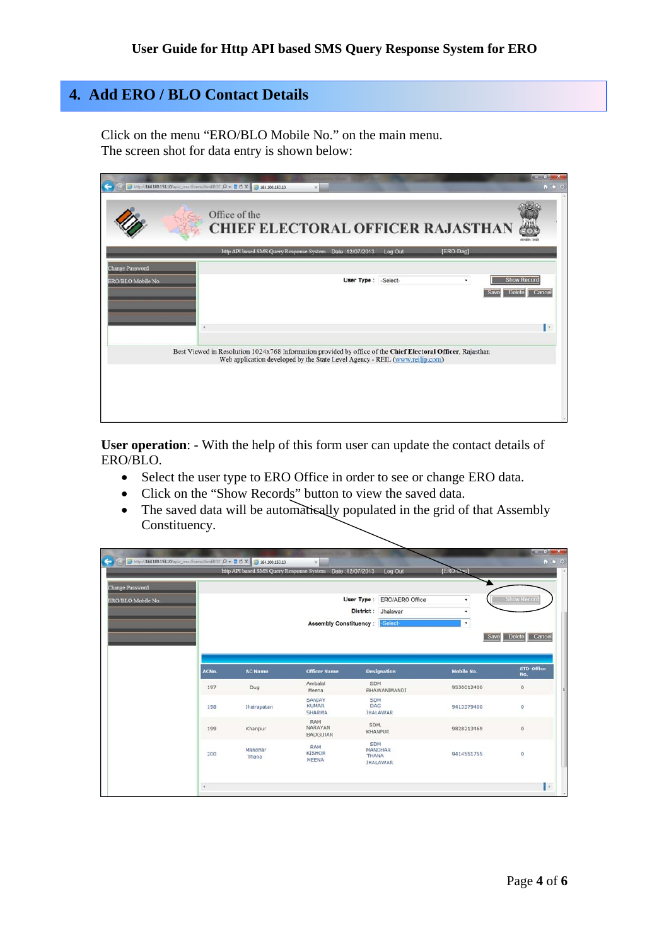## **4. Add ERO / BLO Contact Details**

Click on the menu "ERO/BLO Mobile No." on the main menu. The screen shot for data entry is shown below:

|                        | → http://164.100.153.10/epic_sms/Forms/frmEROE Q + 2 C X + 3 164.100.153.10<br>$\times$                                                                                                    | $m = m + 1$<br>$A$ $A$ $C$ |
|------------------------|--------------------------------------------------------------------------------------------------------------------------------------------------------------------------------------------|----------------------------|
|                        | Office of the<br><b>CHIEF ELECTORAL OFFICER RAJASTHAN</b>                                                                                                                                  |                            |
|                        | http API based SMS Query Response System Date 12/07/2013<br>Log Out<br>[ERO-Dag]                                                                                                           |                            |
| <b>Change Password</b> |                                                                                                                                                                                            |                            |
| ERO/BLO Mobile No.     | <b>Show Record</b><br>User Type : - Select-<br>۰<br><b>Delete</b><br>Save                                                                                                                  | Cancel                     |
| $\epsilon$             |                                                                                                                                                                                            | 1,                         |
|                        | Best Viewed in Resolution 1024x768 Information provided by office of the Chief Electoral Officer, Rajasthan<br>Web application developed by the State Level Agency - REIL (www.reiljp.com) |                            |
|                        |                                                                                                                                                                                            |                            |
|                        |                                                                                                                                                                                            |                            |
|                        |                                                                                                                                                                                            |                            |
|                        |                                                                                                                                                                                            |                            |

**User operation**: - With the help of this form user can update the contact details of ERO/BLO.

- Select the user type to ERO Office in order to see or change ERO data.
- Click on the "Show Records" button to view the saved data.
- The saved data will be automatically populated in the grid of that Assembly Constituency.

|                                                     |       |                    | http API based SMS Query Response System Date : 12/07/2013 |            | Log Out                                             | [ERO-thag]<br>÷      |                                     |
|-----------------------------------------------------|-------|--------------------|------------------------------------------------------------|------------|-----------------------------------------------------|----------------------|-------------------------------------|
| <b>Change Password</b><br><b>ERO/BLO Mobile No.</b> |       |                    | <b>Assembly Constituency:</b>                              | District:  | User Type : ERO/AERO Office<br>Jhalawar<br>-Select- | ۰<br>٠<br>۰<br>Save: | <b>Show Record</b><br>Delete Cancel |
|                                                     | ACNO. | <b>AC Name</b>     | <b>Officer Name</b>                                        |            | <b>Designation</b>                                  | Mobile No.           | STD-Office<br>No.                   |
|                                                     | 197   | Dug                | Ambalal<br>Meena                                           | SDM        | BHAWANIMANDI                                        | 9530012400           | $\circ$                             |
|                                                     | 198   | <b>Jhalrapatan</b> | SANJAY<br><b>KUMAR</b><br>SHARMA                           | SDM<br>DAG | <b>JHALAWAR</b>                                     | 9413379400           | $\circ$                             |
|                                                     | 199   | Khanpur            | RAM<br>NARAYAN<br><b>BADGUJAR</b>                          | SDM,       | <b>KHANPUR</b>                                      | 9828213469           | $\bf{0}$                            |
|                                                     |       |                    |                                                            |            | SDM                                                 |                      |                                     |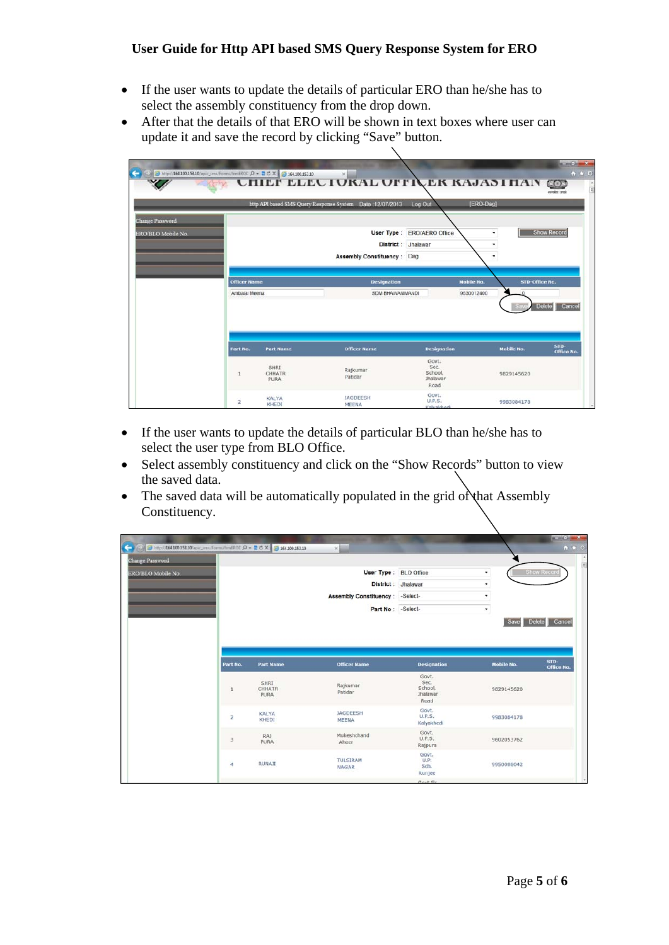#### **User Guide for Http API based SMS Query Response System for ERO**

- If the user wants to update the details of particular ERO than he/she has to select the assembly constituency from the drop down.
- After that the details of that ERO will be shown in text boxes where user can update it and save the record by clicking "Save" button.

|                                              |                     | 8 http://164.100.153.10/epic_sms/Forms/frmEROE $D - 2 C \times 100153.10$ | $\propto$<br><b>UTHEF ELECTORAL OFFICER RAJASTHAN (60)</b>   |                                                     |             | $\frac{1}{2}$<br>$A$ $A$ $B$<br>rentier and |
|----------------------------------------------|---------------------|---------------------------------------------------------------------------|--------------------------------------------------------------|-----------------------------------------------------|-------------|---------------------------------------------|
|                                              |                     |                                                                           | http API based SMS Query Response System Date 12/07/2013     | Log Out                                             | [ERO-Dag]   |                                             |
| <b>Change Password</b><br>ERO/BLO Mobile No. |                     |                                                                           | User Type:<br>District:<br><b>Assembly Constituency: Dag</b> | <b>ERO/AERO Office</b><br>Jhalawar                  | ٠<br>٠<br>۰ | <b>Show Record</b>                          |
|                                              | <b>Officer Name</b> |                                                                           | <b>Designation</b>                                           | <b>Mobile No.</b>                                   |             | STD-Office No.                              |
|                                              | Ambalal Meena       |                                                                           | SDM BHAWANIMANDI                                             | 9530012400                                          | $\Omega$    | Delete Cancel                               |
|                                              | Part No.            | <b>Part Name</b>                                                          | <b>Officer Name</b>                                          | <b>Designation</b>                                  | Mobile No.  | $STD-$<br>Office No.                        |
|                                              | 1                   | SHRI<br>CHHATR<br><b>PURA</b>                                             | Rajkumar<br>Patidar                                          | Govt.<br>Sec.<br>School,<br><b>Jhalawar</b><br>Road | 9829145620  |                                             |
|                                              | $\overline{2}$      | <b>KALYA</b><br><b>KHEDI</b>                                              | <b>JAGDEESH</b><br>MEENA                                     | Govt.<br>U.P.S.<br>Kalvakhedi                       | 9983084178  |                                             |

- If the user wants to update the details of particular BLO than he/she has to select the user type from BLO Office.
- Select assembly constituency and click on the "Show Records" button to view the saved data.
- The saved data will be automatically populated in the grid of that Assembly Constituency.

| <b>Change Password</b>  |                               |                               |                                              |                   |                    |
|-------------------------|-------------------------------|-------------------------------|----------------------------------------------|-------------------|--------------------|
| ERO/BLO Mobile No.      |                               | User Type : BLO Office        |                                              | ٠                 | <b>Show Record</b> |
|                         |                               | District : Jhalawar           |                                              | ٠                 |                    |
|                         |                               | <b>Assembly Constituency:</b> | -Select-                                     | ٠                 |                    |
|                         |                               | Part No : - Select-           |                                              | ۰                 |                    |
|                         |                               |                               |                                              |                   | Save Delete Cancel |
|                         |                               |                               |                                              |                   |                    |
| Part No.                | <b>Part Name</b>              | <b>Officer Name</b>           | <b>Designation</b>                           | <b>Mobile No.</b> | $STD-$             |
| 1                       | SHRI<br><b>CHHATR</b><br>PURA | Rajkumar<br>Patidar           | Govt.<br>Sec.<br>School,<br>Jhalawar<br>Road | 9829145620        |                    |
| $\overline{\mathbf{z}}$ | <b>KALYA</b><br>KHEDI         | JAGDEESH<br>MEENA             | Govt.<br>U.P.S.<br>Kalyakhedi                | 9983084178        |                    |
| 3                       | RA1<br><b>PURA</b>            | Mukeshchand<br>Aheer          | Govt.<br><b>U.P.S.</b><br>Rajpura            | 9602053762        | Office No.         |